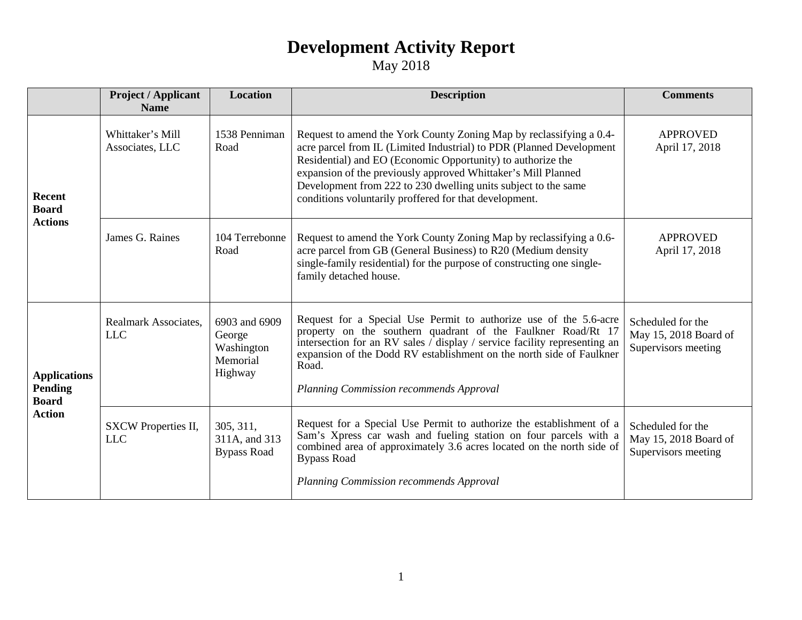|                                                                        | <b>Project / Applicant</b><br><b>Name</b> | <b>Location</b>                                              | <b>Description</b>                                                                                                                                                                                                                                                                                                                                                                                      | <b>Comments</b>                                                   |
|------------------------------------------------------------------------|-------------------------------------------|--------------------------------------------------------------|---------------------------------------------------------------------------------------------------------------------------------------------------------------------------------------------------------------------------------------------------------------------------------------------------------------------------------------------------------------------------------------------------------|-------------------------------------------------------------------|
| <b>Recent</b><br><b>Board</b><br><b>Actions</b>                        | Whittaker's Mill<br>Associates, LLC       | 1538 Penniman<br>Road                                        | Request to amend the York County Zoning Map by reclassifying a 0.4-<br>acre parcel from IL (Limited Industrial) to PDR (Planned Development<br>Residential) and EO (Economic Opportunity) to authorize the<br>expansion of the previously approved Whittaker's Mill Planned<br>Development from 222 to 230 dwelling units subject to the same<br>conditions voluntarily proffered for that development. | <b>APPROVED</b><br>April 17, 2018                                 |
|                                                                        | James G. Raines                           | 104 Terrebonne<br>Road                                       | Request to amend the York County Zoning Map by reclassifying a 0.6-<br>acre parcel from GB (General Business) to R20 (Medium density<br>single-family residential) for the purpose of constructing one single-<br>family detached house.                                                                                                                                                                | <b>APPROVED</b><br>April 17, 2018                                 |
| <b>Applications</b><br><b>Pending</b><br><b>Board</b><br><b>Action</b> | Realmark Associates,<br><b>LLC</b>        | 6903 and 6909<br>George<br>Washington<br>Memorial<br>Highway | Request for a Special Use Permit to authorize use of the 5.6-acre<br>property on the southern quadrant of the Faulkner Road/Rt 17<br>intersection for an RV sales $\int$ display $\int$ service facility representing an<br>expansion of the Dodd RV establishment on the north side of Faulkner<br>Road.<br>Planning Commission recommends Approval                                                    | Scheduled for the<br>May 15, 2018 Board of<br>Supervisors meeting |
|                                                                        | SXCW Properties II,<br><b>LLC</b>         | 305, 311,<br>311A, and 313<br><b>Bypass Road</b>             | Request for a Special Use Permit to authorize the establishment of a<br>Sam's Xpress car wash and fueling station on four parcels with a<br>combined area of approximately 3.6 acres located on the north side of<br><b>Bypass Road</b><br>Planning Commission recommends Approval                                                                                                                      | Scheduled for the<br>May 15, 2018 Board of<br>Supervisors meeting |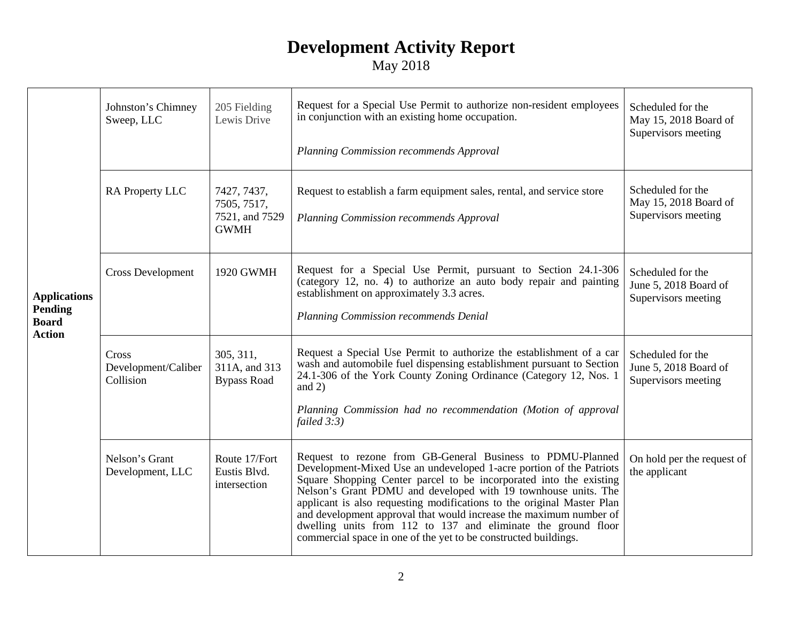| <b>Applications</b><br>Pending<br><b>Board</b><br><b>Action</b> | Johnston's Chimney<br>Sweep, LLC          | 205 Fielding<br>Lewis Drive                                 | Request for a Special Use Permit to authorize non-resident employees<br>in conjunction with an existing home occupation.<br>Planning Commission recommends Approval                                                                                                                                                                                                                                                                                                                                                                                           | Scheduled for the<br>May 15, 2018 Board of<br>Supervisors meeting |
|-----------------------------------------------------------------|-------------------------------------------|-------------------------------------------------------------|---------------------------------------------------------------------------------------------------------------------------------------------------------------------------------------------------------------------------------------------------------------------------------------------------------------------------------------------------------------------------------------------------------------------------------------------------------------------------------------------------------------------------------------------------------------|-------------------------------------------------------------------|
|                                                                 | RA Property LLC                           | 7427, 7437,<br>7505, 7517,<br>7521, and 7529<br><b>GWMH</b> | Request to establish a farm equipment sales, rental, and service store<br>Planning Commission recommends Approval                                                                                                                                                                                                                                                                                                                                                                                                                                             | Scheduled for the<br>May 15, 2018 Board of<br>Supervisors meeting |
|                                                                 | <b>Cross Development</b>                  | 1920 GWMH                                                   | Request for a Special Use Permit, pursuant to Section 24.1-306<br>(category 12, no. 4) to authorize an auto body repair and painting<br>establishment on approximately 3.3 acres.<br>Planning Commission recommends Denial                                                                                                                                                                                                                                                                                                                                    | Scheduled for the<br>June 5, 2018 Board of<br>Supervisors meeting |
|                                                                 | Cross<br>Development/Caliber<br>Collision | 305, 311,<br>311A, and 313<br><b>Bypass Road</b>            | Request a Special Use Permit to authorize the establishment of a car<br>wash and automobile fuel dispensing establishment pursuant to Section<br>24.1-306 of the York County Zoning Ordinance (Category 12, Nos. 1)<br>and $2)$<br>Planning Commission had no recommendation (Motion of approval<br>failed $3:3$ )                                                                                                                                                                                                                                            | Scheduled for the<br>June 5, 2018 Board of<br>Supervisors meeting |
|                                                                 | Nelson's Grant<br>Development, LLC        | Route 17/Fort<br>Eustis Blvd.<br>intersection               | Request to rezone from GB-General Business to PDMU-Planned<br>Development-Mixed Use an undeveloped 1-acre portion of the Patriots<br>Square Shopping Center parcel to be incorporated into the existing<br>Nelson's Grant PDMU and developed with 19 townhouse units. The<br>applicant is also requesting modifications to the original Master Plan<br>and development approval that would increase the maximum number of<br>dwelling units from 112 to 137 and eliminate the ground floor<br>commercial space in one of the yet to be constructed buildings. | On hold per the request of<br>the applicant                       |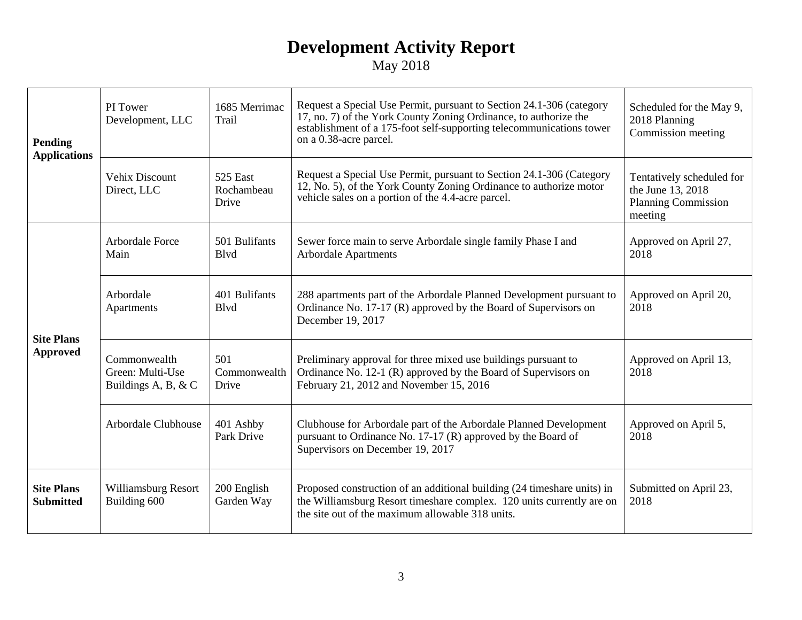| Pending<br><b>Applications</b>        | PI Tower<br>Development, LLC                            | 1685 Merrimac<br>Trail          | Request a Special Use Permit, pursuant to Section 24.1-306 (category<br>17, no. 7) of the York County Zoning Ordinance, to authorize the<br>establishment of a 175-foot self-supporting telecommunications tower<br>on a 0.38-acre parcel. | Scheduled for the May 9,<br>2018 Planning<br>Commission meeting                         |
|---------------------------------------|---------------------------------------------------------|---------------------------------|--------------------------------------------------------------------------------------------------------------------------------------------------------------------------------------------------------------------------------------------|-----------------------------------------------------------------------------------------|
|                                       | <b>Vehix Discount</b><br>Direct, LLC                    | 525 East<br>Rochambeau<br>Drive | Request a Special Use Permit, pursuant to Section 24.1-306 (Category<br>12, No. 5), of the York County Zoning Ordinance to authorize motor<br>vehicle sales on a portion of the 4.4-acre parcel.                                           | Tentatively scheduled for<br>the June 13, 2018<br><b>Planning Commission</b><br>meeting |
| <b>Site Plans</b><br><b>Approved</b>  | <b>Arbordale Force</b><br>Main                          | 501 Bulifants<br><b>B</b> lvd   | Sewer force main to serve Arbordale single family Phase I and<br><b>Arbordale Apartments</b>                                                                                                                                               | Approved on April 27,<br>2018                                                           |
|                                       | Arbordale<br>Apartments                                 | 401 Bulifants<br><b>B</b> lvd   | 288 apartments part of the Arbordale Planned Development pursuant to<br>Ordinance No. 17-17 (R) approved by the Board of Supervisors on<br>December 19, 2017                                                                               | Approved on April 20,<br>2018                                                           |
|                                       | Commonwealth<br>Green: Multi-Use<br>Buildings A, B, & C | 501<br>Commonwealth<br>Drive    | Preliminary approval for three mixed use buildings pursuant to<br>Ordinance No. 12-1 (R) approved by the Board of Supervisors on<br>February 21, 2012 and November 15, 2016                                                                | Approved on April 13,<br>2018                                                           |
|                                       | Arbordale Clubhouse                                     | 401 Ashby<br>Park Drive         | Clubhouse for Arbordale part of the Arbordale Planned Development<br>pursuant to Ordinance No. 17-17 (R) approved by the Board of<br>Supervisors on December 19, 2017                                                                      | Approved on April 5,<br>2018                                                            |
| <b>Site Plans</b><br><b>Submitted</b> | Williamsburg Resort<br>Building 600                     | 200 English<br>Garden Way       | Proposed construction of an additional building (24 timeshare units) in<br>the Williamsburg Resort timeshare complex. 120 units currently are on<br>the site out of the maximum allowable 318 units.                                       | Submitted on April 23,<br>2018                                                          |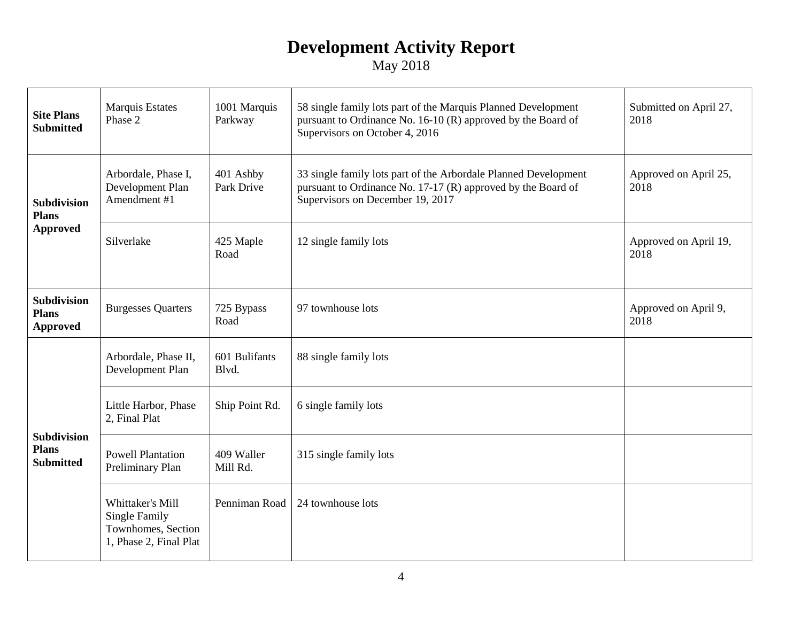| <b>Site Plans</b><br><b>Submitted</b>                  | <b>Marquis Estates</b><br>Phase 2                                                        | 1001 Marquis<br>Parkway | 58 single family lots part of the Marquis Planned Development<br>pursuant to Ordinance No. 16-10 (R) approved by the Board of<br>Supervisors on October 4, 2016     | Submitted on April 27,<br>2018 |
|--------------------------------------------------------|------------------------------------------------------------------------------------------|-------------------------|---------------------------------------------------------------------------------------------------------------------------------------------------------------------|--------------------------------|
| <b>Subdivision</b><br><b>Plans</b><br><b>Approved</b>  | Arbordale, Phase I,<br>Development Plan<br>Amendment #1                                  | 401 Ashby<br>Park Drive | 33 single family lots part of the Arbordale Planned Development<br>pursuant to Ordinance No. 17-17 (R) approved by the Board of<br>Supervisors on December 19, 2017 | Approved on April 25,<br>2018  |
|                                                        | Silverlake                                                                               | 425 Maple<br>Road       | 12 single family lots                                                                                                                                               | Approved on April 19,<br>2018  |
| <b>Subdivision</b><br><b>Plans</b><br><b>Approved</b>  | <b>Burgesses Quarters</b>                                                                | 725 Bypass<br>Road      | 97 townhouse lots                                                                                                                                                   | Approved on April 9,<br>2018   |
| <b>Subdivision</b><br><b>Plans</b><br><b>Submitted</b> | Arbordale, Phase II,<br>Development Plan                                                 | 601 Bulifants<br>Blvd.  | 88 single family lots                                                                                                                                               |                                |
|                                                        | Little Harbor, Phase<br>2, Final Plat                                                    | Ship Point Rd.          | 6 single family lots                                                                                                                                                |                                |
|                                                        | <b>Powell Plantation</b><br>Preliminary Plan                                             | 409 Waller<br>Mill Rd.  | 315 single family lots                                                                                                                                              |                                |
|                                                        | Whittaker's Mill<br><b>Single Family</b><br>Townhomes, Section<br>1, Phase 2, Final Plat | Penniman Road           | 24 townhouse lots                                                                                                                                                   |                                |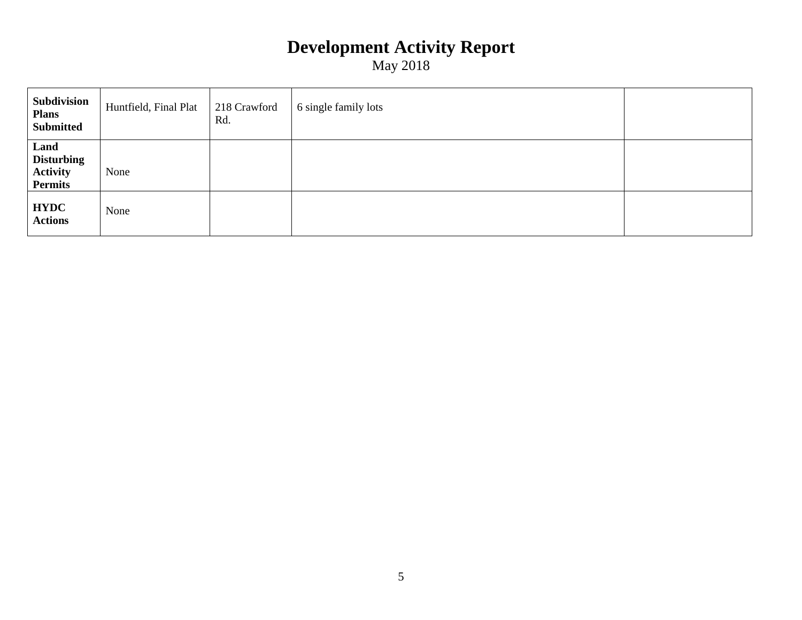| Subdivision<br><b>Plans</b><br><b>Submitted</b>                | Huntfield, Final Plat | 218 Crawford<br>Rd. | 6 single family lots |  |
|----------------------------------------------------------------|-----------------------|---------------------|----------------------|--|
| Land<br><b>Disturbing</b><br><b>Activity</b><br><b>Permits</b> | None                  |                     |                      |  |
| <b>HYDC</b><br><b>Actions</b>                                  | None                  |                     |                      |  |